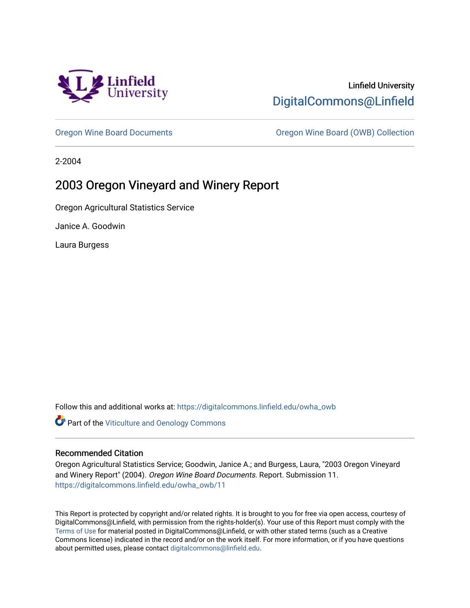

# Linfield University [DigitalCommons@Linfield](https://digitalcommons.linfield.edu/)

[Oregon Wine Board Documents](https://digitalcommons.linfield.edu/owha_owb) [Oregon Wine Board \(OWB\) Collection](https://digitalcommons.linfield.edu/owha_owb_comm) 

2-2004

# 2003 Oregon Vineyard and Winery Report

Oregon Agricultural Statistics Service

Janice A. Goodwin

Laura Burgess

Follow this and additional works at: [https://digitalcommons.linfield.edu/owha\\_owb](https://digitalcommons.linfield.edu/owha_owb?utm_source=digitalcommons.linfield.edu%2Fowha_owb%2F11&utm_medium=PDF&utm_campaign=PDFCoverPages) 

**Part of the [Viticulture and Oenology Commons](http://network.bepress.com/hgg/discipline/1264?utm_source=digitalcommons.linfield.edu%2Fowha_owb%2F11&utm_medium=PDF&utm_campaign=PDFCoverPages)** 

#### Recommended Citation

Oregon Agricultural Statistics Service; Goodwin, Janice A.; and Burgess, Laura, "2003 Oregon Vineyard and Winery Report" (2004). Oregon Wine Board Documents. Report. Submission 11. [https://digitalcommons.linfield.edu/owha\\_owb/11](https://digitalcommons.linfield.edu/owha_owb/11)

This Report is protected by copyright and/or related rights. It is brought to you for free via open access, courtesy of DigitalCommons@Linfield, with permission from the rights-holder(s). Your use of this Report must comply with the [Terms of Use](https://digitalcommons.linfield.edu/terms_of_use.html) for material posted in DigitalCommons@Linfield, or with other stated terms (such as a Creative Commons license) indicated in the record and/or on the work itself. For more information, or if you have questions about permitted uses, please contact [digitalcommons@linfield.edu.](mailto:digitalcommons@linfield.edu)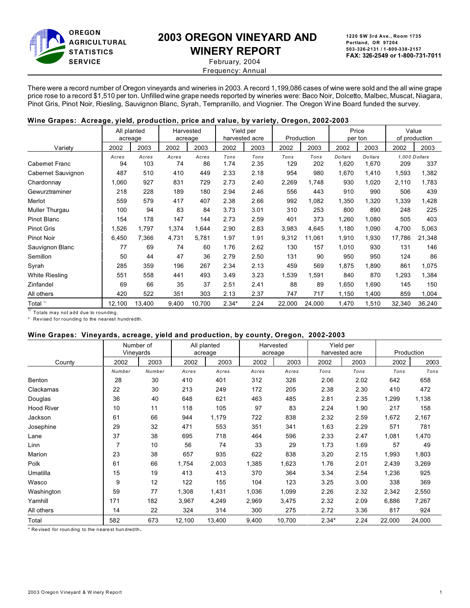

# **2003 OREGON VINEYARD AND**

# **WINERY REPORT**

**1220 SW 3rd Ave., Room 1735 Portland, OR 97204 503-326-2131 / 1-800-338-2157 FAX: 326-2549 or 1-800-731-7011**

 February, 2004 Frequency: Annual

There were a record number of Oregon vineyards and wineries in 2003. A record 1,199,086 cases of wine were sold and the all wine grape price rose to a record \$1,510 per ton. Unfilled wine grape needs reported by wineries were: Baco Noir, Dolcetto, Malbec, Muscat, Niagara, Pinot Gris, Pinot Noir, Riesling, Sauvignon Blanc, Syrah, Tempranillo, and Viognier. The Oregon Wine Board funded the survey.

#### **Wine Grapes: Acreage, yield, production, price and value, by variety, Oregon, 2002-2003**

|                       | All planted<br>acreage |              | Harvested<br>acreage |             |              | Yield per<br>harvested acre |             | Production  | Price            | per ton          |                      | Value<br>of production |
|-----------------------|------------------------|--------------|----------------------|-------------|--------------|-----------------------------|-------------|-------------|------------------|------------------|----------------------|------------------------|
| Variety               | 2002                   | 2003         | 2002                 | 2003        | 2002         | 2003                        | 2002        | 2003        | 2002             | 2003             | 2002                 | 2003                   |
| <b>Cabemet Franc</b>  | Acres<br>94            | Acres<br>103 | Acres<br>74          | Acres<br>86 | Tons<br>1.74 | Tons<br>2.35                | Tons<br>129 | Tons<br>202 | Dollars<br>1,620 | Dollars<br>1,670 | 1.000 Dollars<br>209 | 337                    |
| Cabernet Sauvignon    | 487                    | 510          | 410                  | 449         | 2.33         | 2.18                        | 954         | 980         | 1,670            | 1,410            | 1,593                | 1,382                  |
| Chardonnay            | 1,060                  | 927          | 831                  | 729         | 2.73         | 2.40                        | 2,269       | 1,748       | 930              | 1,020            | 2,110                | 1,783                  |
| Gewurztraminer        | 218                    | 228          | 189                  | 180         | 2.94         | 2.46                        | 556         | 443         | 910              | 990              | 506                  | 439                    |
| Merlot                | 559                    | 579          | 417                  | 407         | 2.38         | 2.66                        | 992         | 1,082       | 1,350            | 1,320            | 1,339                | 1,428                  |
| Muller Thurgau        | 100                    | 94           | 83                   | 84          | 3.73         | 3.01                        | 310         | 253         | 800              | 890              | 248                  | 225                    |
| <b>Pinot Blanc</b>    | 154                    | 178          | 147                  | 144         | 2.73         | 2.59                        | 401         | 373         | 1,260            | 1,080            | 505                  | 403                    |
| <b>Pinot Gris</b>     | 1,526                  | 1,797        | 1,374                | 1,644       | 2.90         | 2.83                        | 3,983       | 4,645       | 1,180            | 1,090            | 4,700                | 5,063                  |
| <b>Pinot Noir</b>     | 6,450                  | 7,366        | 4,731                | 5,781       | 1.97         | 1.91                        | 9,312       | 11,061      | 1,910            | 1,930            | 17,786               | 21,348                 |
| Sauvignon Blanc       | 77                     | 69           | 74                   | 60          | 1.76         | 2.62                        | 130         | 157         | 1,010            | 930              | 131                  | 146                    |
| Semillon              | 50                     | 44           | 47                   | 36          | 2.79         | 2.50                        | 131         | 90          | 950              | 950              | 124                  | 86                     |
| Syrah                 | 285                    | 359          | 196                  | 267         | 2.34         | 2.13                        | 459         | 569         | 1,875            | 1,890            | 861                  | 1,075                  |
| <b>White Riesling</b> | 551                    | 558          | 441                  | 493         | 3.49         | 3.23                        | 1,539       | 1,591       | 840              | 870              | 1,293                | 1,384                  |
| Zinfandel             | 69                     | 66           | 35                   | 37          | 2.51         | 2.41                        | 88          | 89          | 1,650            | 1,690            | 145                  | 150                    |
| All others            | 420                    | 522          | 351                  | 303         | 2.13         | 2.37                        | 747         | 717         | 1,150            | 1,400            | 859                  | 1,004                  |
| Total $1/$            | 12,100                 | 13,400       | 9,400                | 10,700      | $2.34*$      | 2.24                        | 22,000      | 24,000      | 1,470            | 1,510            | 32,340               | 36,240                 |

 $1/$  Totals may not add due to rounding.

\* Revised for rounding to the nearest hundredth.

#### **Wine Grapes: Vineyards, acreage, yield and production, by county, Oregon, 2002-2003**

|                   | Number of<br>Vineyards |        | All planted<br>acreage |        | Harvested<br>acreage |        | Yield per<br>harvested acre |      | Production |        |
|-------------------|------------------------|--------|------------------------|--------|----------------------|--------|-----------------------------|------|------------|--------|
| County            | 2002                   | 2003   | 2002                   | 2003   | 2002                 | 2003   | 2002                        | 2003 | 2002       | 2003   |
|                   | Number                 | Number | Acres                  | Acres  | Acres                | Acres  | Tons                        | Tons | Tons       | Tons   |
| Benton            | 28                     | 30     | 410                    | 401    | 312                  | 326    | 2.06                        | 2.02 | 642        | 658    |
| Clackamas         | 22                     | 30     | 213                    | 249    | 172                  | 205    | 2.38                        | 2.30 | 410        | 472    |
| Douglas           | 36                     | 40     | 648                    | 621    | 463                  | 485    | 2.81                        | 2.35 | 1,299      | 1,138  |
| <b>Hood River</b> | 10                     | 11     | 118                    | 105    | 97                   | 83     | 2.24                        | 1.90 | 217        | 158    |
| Jackson           | 61                     | 66     | 944                    | 1,179  | 722                  | 838    | 2.32                        | 2.59 | 1,672      | 2,167  |
| Josephine         | 29                     | 32     | 471                    | 553    | 351                  | 341    | 1.63                        | 2.29 | 571        | 781    |
| Lane              | 37                     | 38     | 695                    | 718    | 464                  | 596    | 2.33                        | 2.47 | 1,081      | 1,470  |
| Linn              | $\overline{7}$         | 10     | 56                     | 74     | 33                   | 29     | 1.73                        | 1.69 | 57         | 49     |
| Marion            | 23                     | 38     | 657                    | 935    | 622                  | 838    | 3.20                        | 2.15 | 1,993      | 1,803  |
| Polk              | 61                     | 66     | 1,754                  | 2,003  | 1,385                | 1,623  | 1.76                        | 2.01 | 2,439      | 3,269  |
| Umatilla          | 15                     | 19     | 413                    | 413    | 370                  | 364    | 3.34                        | 2.54 | 1,236      | 925    |
| Wasco             | 9                      | 12     | 122                    | 155    | 104                  | 123    | 3.25                        | 3.00 | 338        | 369    |
| Washington        | 59                     | 77     | 1,308                  | 1,431  | 1,036                | 1,099  | 2.26                        | 2.32 | 2,342      | 2,550  |
| Yamhill           | 171                    | 182    | 3,967                  | 4,249  | 2,969                | 3,475  | 2.32                        | 2.09 | 6,886      | 7,267  |
| All others        | 14                     | 22     | 324                    | 314    | 300                  | 275    | 2.72                        | 3.36 | 817        | 924    |
| Total             | 582                    | 673    | 12,100                 | 13,400 | 9,400                | 10,700 | $2.34*$                     | 2.24 | 22,000     | 24,000 |

\* Re vised for roun ding to the n eare st hun dred th.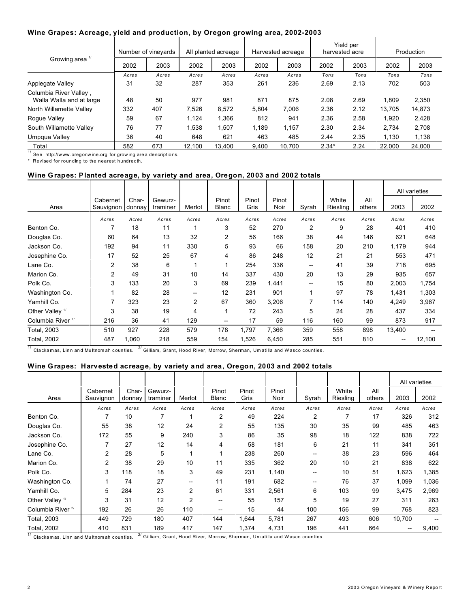#### **Wine Grapes: Acreage, yield and production, by Oregon growing area, 2002-2003**

|                                                    | Number of vineyards |       | All planted acreage |        | Harvested acreage |        | Yield per<br>harvested acre |      | Production |        |
|----------------------------------------------------|---------------------|-------|---------------------|--------|-------------------|--------|-----------------------------|------|------------|--------|
| Growing area <sup>1/</sup>                         | 2002                | 2003  | 2002                | 2003   | 2002              | 2003   | 2002                        | 2003 | 2002       | 2003   |
|                                                    | Acres               | Acres | Acres               | Acres  | Acres             | Acres  | Tons                        | Tons | Tons       | Tons   |
| Applegate Valley                                   | 31                  | 32    | 287                 | 353    | 261               | 236    | 2.69                        | 2.13 | 702        | 503    |
| Columbia River Valley,<br>Walla Walla and at large | 48                  | 50    | 977                 | 981    | 871               | 875    | 2.08                        | 2.69 | 1,809      | 2,350  |
| North Willamette Valley                            | 332                 | 407   | 7.526               | 8.572  | 5.804             | 7.006  | 2.36                        | 2.12 | 13.705     | 14,873 |
| Rogue Valley                                       | 59                  | 67    | 1,124               | 1.366  | 812               | 941    | 2.36                        | 2.58 | 1,920      | 2,428  |
| South Willamette Valley                            | 76                  | 77    | 1.538               | 1.507  | 1.189             | 1.157  | 2.30                        | 2.34 | 2.734      | 2,708  |
| Umpqua Valley                                      | 36                  | 40    | 648                 | 621    | 463               | 485    | 2.44                        | 2.35 | 1.130      | 1,138  |
| Total                                              | 582                 | 673   | 12.100              | 13.400 | 9.400             | 10.700 | $2.34*$                     | 2.24 | 22.000     | 24.000 |

 $1/$  See http://www.oregonwine.org for growing area descriptions.

\* Revised for rounding to the nearest hundredth.

#### **Wine Grapes: Planted acreage, by variety and area, Oregon, 2003 and 2002 totals**

|                              |                       |                 |                     |        |                       |               |               |                |                   |               |        | All varieties |
|------------------------------|-----------------------|-----------------|---------------------|--------|-----------------------|---------------|---------------|----------------|-------------------|---------------|--------|---------------|
| Area                         | Cabernet<br>Sauvignon | Char-<br>donnay | Gewurz-<br>traminer | Merlot | Pinot<br><b>Blanc</b> | Pinot<br>Gris | Pinot<br>Noir | Syrah          | White<br>Riesling | All<br>others | 2003   | 2002          |
|                              | Acres                 | Acres           | Acres               | Acres  | Acres                 | Acres         | Acres         | Acres          | Acres             | Acres         | Acres  | Acres         |
| Benton Co.                   | 7                     | 18              | 11                  |        | 3                     | 52            | 270           | $\overline{2}$ | 9                 | 28            | 401    | 410           |
| Douglas Co.                  | 60                    | 64              | 13                  | 32     | 2                     | 56            | 166           | 38             | 44                | 146           | 621    | 648           |
| Jackson Co.                  | 192                   | 94              | 11                  | 330    | 5                     | 93            | 66            | 158            | 20                | 210           | 1,179  | 944           |
| Josephine Co.                | 17                    | 52              | 25                  | 67     | 4                     | 86            | 248           | 12             | 21                | 21            | 553    | 471           |
| Lane Co.                     | 2                     | 38              | 6                   | 1      |                       | 254           | 336           | --             | 41                | 39            | 718    | 695           |
| Marion Co.                   | 2                     | 49              | 31                  | 10     | 14                    | 337           | 430           | 20             | 13                | 29            | 935    | 657           |
| Polk Co.                     | 3                     | 133             | 20                  | 3      | 69                    | 239           | 1,441         | --             | 15                | 80            | 2,003  | 1,754         |
| Washington Co.               |                       | 82              | 28                  | --     | 12                    | 231           | 901           | 1              | 97                | 78            | 1,431  | 1,303         |
| Yamhill Co.                  | 7                     | 323             | 23                  | 2      | 67                    | 360           | 3,206         | 7              | 114               | 140           | 4,249  | 3,967         |
| Other Valley <sup>1/</sup>   | 3                     | 38              | 19                  | 4      |                       | 72            | 243           | 5              | 24                | 28            | 437    | 334           |
| Columbia River <sup>2/</sup> | 216                   | 36              | 41                  | 129    | --                    | 17            | 59            | 116            | 160               | 99            | 873    | 917           |
| Total, 2003                  | 510                   | 927             | 228                 | 579    | 178                   | 1,797         | 7,366         | 359            | 558               | 898           | 13,400 |               |
| Total, 2002                  | 487                   | 1,060           | 218                 | 559    | 154                   | 1,526         | 6,450         | 285            | 551               | 810           |        | 12,100        |

 $\frac{1}{10}$  Clackamas, Linn and Multnomah counties.  $\frac{2}{10}$  Gilliam, Grant, Hood River, Morrow, Sherman, Umatilla and Wasco counties.

#### **Wine Grapes: Harvested acreage, by variety and area, Oregon, 2003 and 2002 totals**

|                              |                       |                 |                     |                |                       |               |               |       |                   |               |        | All varieties |
|------------------------------|-----------------------|-----------------|---------------------|----------------|-----------------------|---------------|---------------|-------|-------------------|---------------|--------|---------------|
| Area                         | Cabernet<br>Sauvignon | Char-<br>donnay | Gewurz-<br>traminer | Merlot         | Pinot<br><b>Blanc</b> | Pinot<br>Gris | Pinot<br>Noir | Syrah | White<br>Riesling | All<br>others | 2003   | 2002          |
|                              | Acres                 | Acres           | Acres               | Acres          | Acres                 | Acres         | Acres         | Acres | Acres             | Acres         | Acres  | Acres         |
| Benton Co.                   | 7                     | 10              |                     | 4              | 2                     | 49            | 224           | 2     | 7                 | 17            | 326    | 312           |
| Douglas Co.                  | 55                    | 38              | 12                  | 24             | 2                     | 55            | 135           | 30    | 35                | 99            | 485    | 463           |
| Jackson Co.                  | 172                   | 55              | 9                   | 240            | 3                     | 86            | 35            | 98    | 18                | 122           | 838    | 722           |
| Josephine Co.                | 7                     | 27              | 12                  | 14             | 4                     | 58            | 181           | 6     | 21                | 11            | 341    | 351           |
| Lane Co.                     | 2                     | 28              | 5                   | 1              |                       | 238           | 260           | --    | 38                | 23            | 596    | 464           |
| Marion Co.                   | 2                     | 38              | 29                  | 10             | 11                    | 335           | 362           | 20    | 10                | 21            | 838    | 622           |
| Polk Co.                     | 3                     | 118             | 18                  | 3              | 49                    | 231           | 1,140         | --    | 10                | 51            | 1,623  | 1,385         |
| Washington Co.               |                       | 74              | 27                  | --             | 11                    | 191           | 682           | --    | 76                | 37            | 1,099  | 1,036         |
| Yamhill Co.                  | 5                     | 284             | 23                  | $\overline{2}$ | 61                    | 331           | 2,561         | 6     | 103               | 99            | 3,475  | 2,969         |
| Other Valley <sup>1/</sup>   | 3                     | 31              | 12                  | $\overline{2}$ | --                    | 55            | 157           | 5     | 19                | 27            | 311    | 263           |
| Columbia River <sup>2/</sup> | 192                   | 26              | 26                  | 110            | --                    | 15            | 44            | 100   | 156               | 99            | 768    | 823           |
| Total, 2003                  | 449                   | 729             | 180                 | 407            | 144                   | 1,644         | 5,781         | 267   | 493               | 606           | 10,700 |               |
| <b>Total, 2002</b>           | 410                   | 831             | 189                 | 417            | 147                   | 1,374         | 4,731         | 196   | 441               | 664           | --     | 9,400         |

 $^{17}$  Clackamas, Linn and Multnomah counties.  $^{27}$  Gilliam, Grant, Hood River, Morrow, Sherman, Umatilla and Wasco counties.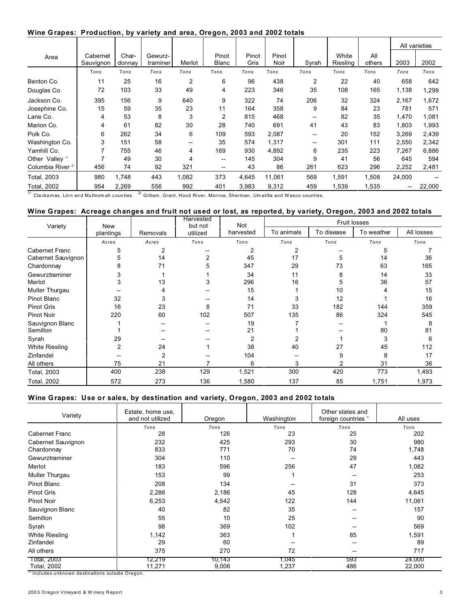#### **Wine Grapes: Production, by variety and area, Oregon, 2003 and 2002 totals**

|                              |                       |                 |                     |                |                       |               |                      |       |                   |               |        | All varieties |
|------------------------------|-----------------------|-----------------|---------------------|----------------|-----------------------|---------------|----------------------|-------|-------------------|---------------|--------|---------------|
| Area                         | Cabernet<br>Sauvignon | Char-<br>donnay | Gewurz-<br>traminer | Merlot         | Pinot<br><b>Blanc</b> | Pinot<br>Gris | Pinot<br><b>Noir</b> | Syrah | White<br>Riesling | All<br>others | 2003   | 2002          |
|                              | Tons                  | Tons            | Tons                | Tons           | Tons                  | Tons          | Tons                 | Tons  | Tons              | Tons          | Tons   | Tons          |
| Benton Co.                   | 11                    | 25              | 16                  | $\overline{2}$ | 6                     | 96            | 438                  | 2     | 22                | 40            | 658    | 642           |
| Douglas Co.                  | 72                    | 103             | 33                  | 49             | 4                     | 223           | 346                  | 35    | 108               | 165           | 1,138  | 1,299         |
| Jackson Co.                  | 395                   | 156             | 9                   | 640            | 9                     | 322           | 74                   | 206   | 32                | 324           | 2,167  | 1,672         |
| Josephine Co.                | 15                    | 59              | 35                  | 23             | 11                    | 164           | 358                  | 9     | 84                | 23            | 781    | 571           |
| Lane Co.                     | 4                     | 53              | 8                   | 3              | $\overline{2}$        | 815           | 468                  |       | 82                | 35            | 1,470  | 1,081         |
| Marion Co.                   | 4                     | 61              | 82                  | 30             | 28                    | 740           | 691                  | 41    | 43                | 83            | 1,803  | 1,993         |
| Polk Co.                     | 6                     | 262             | 34                  | 6              | 109                   | 593           | 2,087                | --    | 20                | 152           | 3,269  | 2,439         |
| Washington Co.               | 3                     | 151             | 58                  | --             | 35                    | 574           | 1,317                | --    | 301               | 111           | 2,550  | 2,342         |
| Yamhill Co.                  |                       | 755             | 46                  | 4              | 169                   | 930           | 4,892                | 6     | 235               | 223           | 7,267  | 6,886         |
| Other Valley <sup>1/</sup>   |                       | 49              | 30                  | 4              | --                    | 145           | 304                  | 9     | 41                | 56            | 645    | 594           |
| Columbia River <sup>2/</sup> | 456                   | 74              | 92                  | 321            | --                    | 43            | 86                   | 261   | 623               | 296           | 2,252  | 2,481         |
| Total, 2003                  | 980                   | 1,748           | 443                 | 1,082          | 373                   | 4,645         | 11,061               | 569   | 1,591             | 1,508         | 24,000 |               |
| Total, 2002                  | 954                   | 2,269           | 556                 | 992            | 401                   | 3,983         | 9,312                | 459   | 1,539             | 1,535         | --     | 22,000        |

 $^{1/7}$  Clackamas, Linn and Multnomah counties.  $^{2/7}$  Gilliam, Grant, Hood River, Morrow, Sherman, Umatilla and Wasco counties.

### **Wine Grapes: Acreage changes and fruit not used or lost, as reported, by variety, Oregon, 2003 and 2002 totals**

| Variety               |           | New      |          | Harvested<br>Not<br>but not |            | Fruit losses |            |            |  |  |  |
|-----------------------|-----------|----------|----------|-----------------------------|------------|--------------|------------|------------|--|--|--|
|                       | plantings | Removals | utilized | harvested                   | To animals | To disease   | To weather | All losses |  |  |  |
|                       | Acres     | Acres    | Tons     | Tons                        | Tons       | Tons         | Tons       | Tons       |  |  |  |
| <b>Cabernet Franc</b> | 5         | 2        |          | 2                           | 2          | --           | 5          |            |  |  |  |
| Cabernet Sauvignon    | 5         | 14       |          | 45                          | 17         | 5            | 14         | 36         |  |  |  |
| Chardonnay            | 8         | 71       |          | 347                         | 29         | 73           | 63         | 165        |  |  |  |
| Gewurztraminer        | 3         |          |          | 34                          | 11         | 8            | 14         | 33         |  |  |  |
| Merlot                | 3         | 13       | 3        | 296                         | 16         |              | 36         | 57         |  |  |  |
| Muller Thurgau        |           | 4        |          | 15                          |            | 10           | 4          | 15         |  |  |  |
| Pinot Blanc           | 32        | 3        |          | 14                          | 3          | 12           |            | 16         |  |  |  |
| <b>Pinot Gris</b>     | 16        | 23       | 8        | 71                          | 33         | 182          | 144        | 359        |  |  |  |
| Pinot Noir            | 220       | 60       | 102      | 507                         | 135        | 86           | 324        | 545        |  |  |  |
| Sauvignon Blanc       |           | --       |          | 19                          |            |              |            | 8          |  |  |  |
| Semillon              |           |          |          | 21                          |            |              | 80         | 81         |  |  |  |
| Syrah                 | 29        |          |          | $\overline{2}$              |            |              | 3          | 6          |  |  |  |
| <b>White Riesling</b> | 2         | 24       |          | 38                          | 40         | 27           | 45         | 112        |  |  |  |
| Zinfandel             |           | 2        |          | 104                         |            | 9            | 8          | 17         |  |  |  |
| All others            | 75        | 21       |          | 6                           | 3          | 2            | 31         | 36         |  |  |  |
| Total, 2003           | 400       | 238      | 129      | 1,521                       | 300        | 420          | 773        | 1,493      |  |  |  |
| Total, 2002           | 572       | 273      | 136      | 1,580                       | 137        | 85           | 1,751      | 1,973      |  |  |  |

#### **Wine Grapes: Use or sales, by destination and variety, Oregon, 2003 and 2002 totals**

| Variety               | Estate, home use,<br>and not utilized | Oregon | Washington | Other states and<br>foreign countries 1/ | All uses |
|-----------------------|---------------------------------------|--------|------------|------------------------------------------|----------|
|                       | Tons                                  | Tons   | Tons       | Tons                                     | Tons     |
| <b>Cabernet Franc</b> | 28                                    | 126    | 23         | 25                                       | 202      |
| Cabernet Sauvignon    | 232                                   | 425    | 293        | 30                                       | 980      |
| Chardonnay            | 833                                   | 771    | 70         | 74                                       | 1,748    |
| Gewurztraminer        | 304                                   | 110    |            | 29                                       | 443      |
| Merlot                | 183                                   | 596    | 256        | 47                                       | 1,082    |
| Muller Thurgau        | 153                                   | 99     |            |                                          | 253      |
| Pinot Blanc           | 208                                   | 134    |            | 31                                       | 373      |
| <b>Pinot Gris</b>     | 2,286                                 | 2,186  | 45         | 128                                      | 4,645    |
| <b>Pinot Noir</b>     | 6,253                                 | 4,542  | 122        | 144                                      | 11,061   |
| Sauvignon Blanc       | 40                                    | 82     | 35         |                                          | 157      |
| Semillon              | 55                                    | 10     | 25         |                                          | 90       |
| Syrah                 | 98                                    | 369    | 102        |                                          | 569      |
| White Riesling        | 1,142                                 | 363    |            | 85                                       | 1,591    |
| Zinfandel             | 29                                    | 60     |            |                                          | 89       |
| All others            | 375                                   | 270    | 72         |                                          | 717      |
| Total, 2003           | 12,219                                | 10,143 | 1,045      | 593                                      | 24,000   |
| Total, 2002           | 11,271                                | 9,006  | 1,237      | 486                                      | 22,000   |

 $^{\text{T}}$  Includes unknown destinations outside Oregon.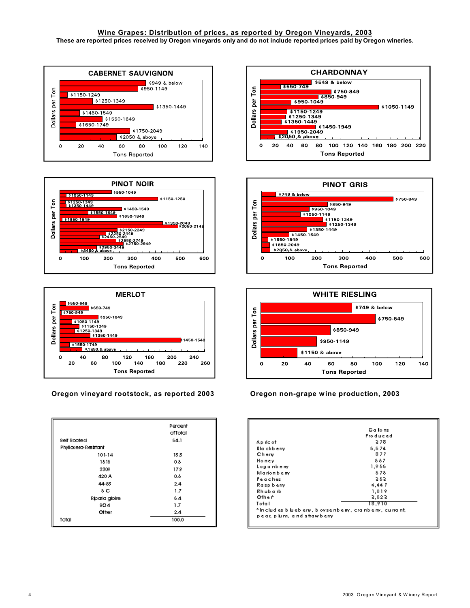#### Wine Grapes: Distribution of prices, as reported by Oregon Vineyards, 2003 These are reported prices received by Oregon vineyards only and do not include reported prices paid by Oregon wineries.







Oregon vineyard rootstock, as reported 2003

|                      | Percent<br>ofTotal |
|----------------------|--------------------|
| Self Rooted          | 84.1               |
| Phylloxero-Resistant |                    |
| 101-14               | 13.3               |
| 1818                 | ٥.                 |
| 3309                 | 17.9               |
| 420 A                | 0.5                |
| 44-83                | 2.4                |
| δC                   | 1.7                |
| Riparia gloire       | 84                 |
| SO <sub>4</sub>      | 1.7                |
| Other                | 2.4                |
| Total                | 100.0              |







Oregon non-grape wine production, 2003

|                            | Ga lons,                                                        |
|----------------------------|-----------------------------------------------------------------|
|                            | Produced                                                        |
| Ap ric of                  | 278                                                             |
| Blaickbierry               | 6, 674                                                          |
| Chery                      | 877                                                             |
| Honey                      | 887                                                             |
| Loganbeny                  | 1,988                                                           |
| Marionberry                | 878                                                             |
| Peaches                    | 393                                                             |
| Rasp berry                 | 4.447                                                           |
| Rhubarb                    | 1.019                                                           |
| Other <sup>1</sup>         | 3.623                                                           |
| Total                      | 18,910                                                          |
| pear, plum, and strawberry | * In cludies bluebierty, bloyse ribeiny, crainbieiny, curraint, |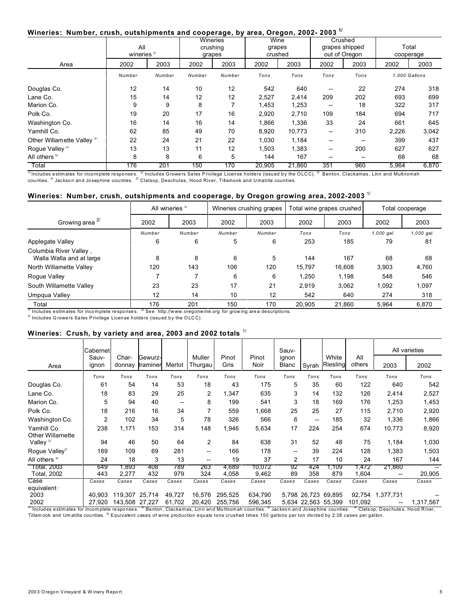#### Wineries: Number, crush, outshipments and cooperage, by area, Oregon, 2002-2003<sup>1/</sup>

|                            | All<br>wineries $2/$ |        | <b>Wineries</b><br>crushing<br>grapes |        | Wine<br>grapes<br>crushed |        | Crushed<br>grapes shipped<br>out of Oregon |      | Total<br>cooperage |       |
|----------------------------|----------------------|--------|---------------------------------------|--------|---------------------------|--------|--------------------------------------------|------|--------------------|-------|
| Area                       | 2002                 | 2003   | 2002                                  | 2003   | 2002                      | 2003   | 2002                                       | 2003 | 2002               | 2003  |
|                            | Number               | Number | Number                                | Number | Tons                      | Tons   | Tons                                       | Tons | 1,000 Gallons      |       |
| Douglas Co.                | 12                   | 14     | 10                                    | 12     | 542                       | 640    | --                                         | 22   | 274                | 318   |
| Lane Co.                   | 15                   | 14     | 12                                    | 12     | 2,527                     | 2,414  | 209                                        | 202  | 693                | 699   |
| Marion Co.                 | 9                    | 9      | 8                                     |        | 1,453                     | 1,253  | $\hspace{0.05cm}$                          | 18   | 322                | 317   |
| Polk Co.                   | 19                   | 20     | 17                                    | 16     | 2,920                     | 2,710  | 109                                        | 184  | 694                | 717   |
| Washington Co.             | 16                   | 14     | 16                                    | 14     | 1,866                     | 1,336  | 33                                         | 24   | 661                | 645   |
| Yamhill Co.                | 62                   | 85     | 49                                    | 70     | 8,920                     | 10,773 | --                                         | 310  | 2,226              | 3,042 |
| Other Willamette Valley 3/ | 22                   | 24     | 21                                    | 22     | 1,030                     | 1,184  | --                                         | --   | 399                | 437   |
| Rogue Valley <sup>4/</sup> | 13                   | 13     | 11                                    | 12     | 1,503                     | 1,383  | --                                         | 200  | 627                | 627   |
| All others <sup>5/</sup>   | 8                    | 8      | 6                                     | 5      | 144                       | 167    | --                                         | --   | 68                 | 68    |
| Total                      | 176                  | 201    | 150                                   | 170    | 20,905                    | 21,860 | 351                                        | 960  | 5,964              | 6,870 |

 $\frac{1}{1}$ Includes estimates for incomplete responses. <sup>2/</sup> Includes Growers Sales Privilege License holders (issued by the OLCC). <sup>3/</sup> Benton, Clackamas, Linn and Multnomah counties. <sup>4/</sup> Jackson and Josephine counties. <sup></sup>

## Wineries: Number, crush, outshipments and cooperage, by Oregon growing area, 2002-2003  $^{\text{1/}}$

|                                                    |        | All wineries $3/$ |        | Wineries crushing grapes |        | Total wine grapes crushed | Total cooperage |            |
|----------------------------------------------------|--------|-------------------|--------|--------------------------|--------|---------------------------|-----------------|------------|
| Growing area <sup>2/</sup>                         | 2002   | 2003              | 2002   | 2003                     | 2002   | 2003                      | 2002            | 2003       |
|                                                    | Number | Number            | Number | Number                   | Tons   | Tons                      | $1,000$ gal.    | 1,000 gal. |
| Applegate Valley                                   | 6      | 6                 | 5      | 6                        | 253    | 185                       | 79              | 81         |
| Columbia River Valley,<br>Walla Walla and at large | 8      | 8                 | 6      | 5                        | 144    | 167                       | 68              | 68         |
| North Willamette Valley                            | 120    | 143               | 106    | 120                      | 15.797 | 16.608                    | 3.903           | 4,760      |
| Rogue Valley                                       |        |                   | 6      | 6                        | 1.250  | 1.198                     | 548             | 546        |
| South Willamette Valley                            | 23     | 23                | 17     | 21                       | 2.919  | 3,062                     | 1,092           | 1,097      |
| Umpqua Valley                                      | 12     | 14                | 10     | 12                       | 542    | 640                       | 274             | 318        |
| Total                                              | 176    | 201               | 150    | 170                      | 20.905 | 21.860                    | 5.964           | 6.870      |

 $\frac{17}{11}$  Includes estimates for incomplete responses.  $\frac{27}{11}$  See http://www.oregonwine.org for growing area descriptions.

<sup>3/</sup> Includes Growers Sales Privilege License holders (issued by the OLCC).

#### Wineries: Crush, by variety and area, 2003 and 2002 totals 1/

|                                                                                                                                                                  | Cabernet       |                 |                     |            |                   |                |                 | Sauv-                                 |                     |                   |               |                                               | All varieties |
|------------------------------------------------------------------------------------------------------------------------------------------------------------------|----------------|-----------------|---------------------|------------|-------------------|----------------|-----------------|---------------------------------------|---------------------|-------------------|---------------|-----------------------------------------------|---------------|
| Area                                                                                                                                                             | Sauv-<br>ignon | Char-<br>donnay | Gewurz-<br>traminer | Merlot     | Muller<br>Thurgau | Pinot<br>Gris  | Pinot<br>Noir   | ignon<br>Blanc                        | Syrah               | White<br>Riesling | All<br>others | 2003                                          | 2002          |
|                                                                                                                                                                  | Tons           | Tons            | Tons                | Tons       | Tons              | Tons           | Tons            | Tons                                  | Tons                | Tons              | Tons          | Tons                                          | Tons          |
| Douglas Co.                                                                                                                                                      | 61             | 54              | 14                  | 53         | 18                | 43             | 175             | 5                                     | 35                  | 60                | 122           | 640                                           | 542           |
| Lane Co.                                                                                                                                                         | 18             | 83              | 29                  | 25         | 2                 | 1,347          | 635             | 3                                     | 14                  | 132               | 126           | 2,414                                         | 2,527         |
| Marion Co.                                                                                                                                                       | 5              | 94              | 40                  | --         | 8                 | 199            | 541             | 3                                     | 18                  | 169               | 176           | 1,253                                         | 1,453         |
| Polk Co.                                                                                                                                                         | 18             | 216             | 16                  | 34         | $\overline{7}$    | 559            | 1,668           | 25                                    | 25                  | 27                | 115           | 2,710                                         | 2,920         |
| Washington Co.                                                                                                                                                   | $\overline{2}$ | 102             | 34                  | 5          | 78                | 326            | 566             | 6                                     | --                  | 185               | 32            | 1,336                                         | 1,866         |
| Yamhill Co.                                                                                                                                                      | 238            | 1,171           | 153                 | 314        | 148               | 1,946          | 5,634           | 17                                    | 224                 | 254               | 674           | 10,773                                        | 8,920         |
| <b>Other Willamette</b><br>Valley <sup>2/</sup>                                                                                                                  | 94             | 46              | 50                  | 64         | 2                 | 84             | 638             | 31                                    | 52                  | 48                | 75            | 1,184                                         | 1,030         |
| Rogue Valley <sup>3/</sup>                                                                                                                                       | 189            | 109             | 69                  | 281        | --                | 166            | 178             | $\hspace{0.05cm}$ – $\hspace{0.05cm}$ | 39                  | 224               | 128           | 1,383                                         | 1,503         |
| All others $4/$                                                                                                                                                  | 24             | 18              | 3                   | 13         | --                | 19             | 37              | 2                                     | 17                  | 10                | 24            | 167                                           | 144           |
| Total, 2003<br><b>Total, 2002</b>                                                                                                                                | 649<br>443     | .893<br>2,277   | 408<br>432          | 789<br>979 | 263<br>324        | 4,689<br>4,058 | 10.072<br>9,462 | 92<br>89                              | 424<br>358          | .109<br>879       | .472<br>1,604 | 21,860<br>$-$                                 | 20,905        |
| Case                                                                                                                                                             | Cases          | Cases           | Cases               | Cases      | Cases             | Cases          | Cases           | Cases                                 | Cases               | Cases             | Cases         | Cases                                         | Cases         |
| equivalent »                                                                                                                                                     |                |                 |                     |            |                   |                |                 |                                       |                     |                   |               |                                               |               |
| 2003                                                                                                                                                             | 40.903         | 119,307 25,714  |                     | 49,727     | 16,576            | 295,525        | 634,790         |                                       | 5,798 26,723 69,895 |                   | 92,754        | 1,377,731                                     |               |
| 2002<br>" Includes estimates for incomplete responses. <sup>2</sup> Benton, Clackamas, Linn and Multnomah counties. <sup>3</sup> Jackson and Josephine counties. | 27.920         | 143.508 27.227  |                     | 61,702     | 20,420            | 255,756        | 596,345         |                                       | 5,634 22,563 55,399 |                   | 101,092       | <sup>4/</sup> Clatsop, Deschutes, Hood River, | 1,317,567     |

Tillamook and Umatilla counties. <sup>5/</sup> Equivalent cases of wine production equals tons crushed times 150 gallons per ton divided by 2.38 cases per gallon.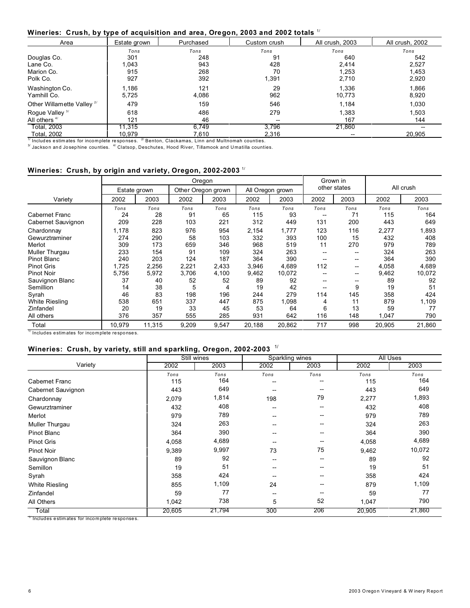#### **Wineries: Crush, by type of acquisition and area, Oregon, 2003 and 2002 totals** 1/

| Area                                  | Estate grown | Purchased | Custom crush | All crush, 2003 | All crush, 2002 |
|---------------------------------------|--------------|-----------|--------------|-----------------|-----------------|
|                                       | Tons         | Tons      | Tons         | Tons            | Tons            |
| Douglas Co.                           | 301          | 248       | 91           | 640             | 542             |
| Lane Co.                              | 1.043        | 943       | 428          | 2.414           | 2.527           |
| Marion Co.                            | 915          | 268       | 70           | 1,253           | 1,453           |
| Polk Co.                              | 927          | 392       | 1,391        | 2,710           | 2,920           |
| Washington Co.                        | 1.186        | 121       | 29           | 1.336           | 1.866           |
| Yamhill Co.                           | 5,725        | 4,086     | 962          | 10,773          | 8,920           |
| Other Willamette Valley <sup>2/</sup> | 479          | 159       | 546          | 1,184           | 1,030           |
| Rogue Valley <sup>3/</sup>            | 618          | 486       | 279          | 1,383           | 1.503           |
| All others $4/$                       | 121          | 46        | --           | 167             | 144             |
| Total, 2003                           | 11.315       | 6.749     | 3.796        | 21,860          |                 |
| Total, 2002                           | 10.979       | 7.610     | 2,316        |                 | 20,905          |

 $^{\text{\tiny 3\prime}}$  Jackson and Josephine counties.  $^{\text{\tiny 4\prime}}$  Clatsop, Deschutes, Hood River, Tillamook and Umatilla counties.

#### **Wineries: Crush, by origin and variety, Oregon, 2002-2003** 1/

|                          |              |        |       | Oregon             | Grown in |                  |      |              |        |           |  |
|--------------------------|--------------|--------|-------|--------------------|----------|------------------|------|--------------|--------|-----------|--|
|                          | Estate grown |        |       | Other Oregon grown |          | All Oregon grown |      | other states |        | All crush |  |
| Variety                  | 2002         | 2003   | 2002  | 2003               | 2002     | 2003             | 2002 | 2003         | 2002   | 2003      |  |
|                          | Tons         | Tons   | Tons  | Tons               | Tons     | Tons             | Tons | Tons         | Tons   | Tons      |  |
| Cabernet Franc           | 24           | 28     | 91    | 65                 | 115      | 93               | --   | 71           | 115    | 164       |  |
| Cabernet Sauvignon       | 209          | 228    | 103   | 221                | 312      | 449              | 131  | 200          | 443    | 649       |  |
| Chardonnay               | 1,178        | 823    | 976   | 954                | 2,154    | 1,777            | 123  | 116          | 2,277  | 1,893     |  |
| Gewurztraminer           | 274          | 290    | 58    | 103                | 332      | 393              | 100  | 15           | 432    | 408       |  |
| Merlot                   | 309          | 173    | 659   | 346                | 968      | 519              | 11   | 270          | 979    | 789       |  |
| Muller Thurgau           | 233          | 154    | 91    | 109                | 324      | 263              | $-$  | --           | 324    | 263       |  |
| <b>Pinot Blanc</b>       | 240          | 203    | 124   | 187                | 364      | 390              |      | --           | 364    | 390       |  |
| <b>Pinot Gris</b>        | 1,725        | 2,256  | 2,221 | 2,433              | 3,946    | 4,689            | 112  | --           | 4,058  | 4,689     |  |
| <b>Pinot Noir</b>        | 5,756        | 5,972  | 3,706 | 4,100              | 9,462    | 10,072           | --   | --           | 9,462  | 10,072    |  |
| Sauvignon Blanc          | 37           | 40     | 52    | 52                 | 89       | 92               |      | --           | 89     | 92        |  |
| Semillion                | 14           | 38     | 5     | 4                  | 19       | 42               |      | 9            | 19     | 51        |  |
| Syrah                    | 46           | 83     | 198   | 196                | 244      | 279              | 114  | 145          | 358    | 424       |  |
| <b>White Riesling</b>    | 538          | 651    | 337   | 447                | 875      | 1,098            | 4    | 11           | 879    | 1,109     |  |
| Zinfandel                | 20           | 19     | 33    | 45                 | 53       | 64               | 6    | 13           | 59     | 77        |  |
| All others               | 376          | 357    | 555   | 285                | 931      | 642              | 116  | 148          | 1,047  | 790       |  |
| Total<br>$\frac{1}{1}$ . | 10,979       | 11,315 | 9,209 | 9,547              | 20,188   | 20,862           | 717  | 998          | 20,905 | 21,860    |  |

Includes estimates for incomplete responses.

#### **Wineries: Crush, by variety, still and sparkling, Oregon, 2002-2003** 1/

|                      |        | Still wines | Sparkling wines          |                   | <b>All Uses</b> |        |  |
|----------------------|--------|-------------|--------------------------|-------------------|-----------------|--------|--|
| Variety              | 2002   | 2003        | 2002                     | 2003              | 2002            | 2003   |  |
|                      | Tons   | Tons        | Tons                     | Tons              | Tons            | Tons   |  |
| <b>Cabemet Franc</b> | 115    | 164         | --                       | --                | 115             | 164    |  |
| Cabernet Sauvignon   | 443    | 649         | --                       | --                | 443             | 649    |  |
| Chardonnay           | 2,079  | 1,814       | 198                      | 79                | 2,277           | 1,893  |  |
| Gewurztraminer       | 432    | 408         | --                       | $\hspace{0.05cm}$ | 432             | 408    |  |
| Merlot               | 979    | 789         | --                       | --                | 979             | 789    |  |
| Muller Thurgau       | 324    | 263         | $\overline{\phantom{a}}$ | --                | 324             | 263    |  |
| <b>Pinot Blanc</b>   | 364    | 390         | $\overline{\phantom{a}}$ | --                | 364             | 390    |  |
| <b>Pinot Gris</b>    | 4,058  | 4,689       | --                       | --                | 4,058           | 4,689  |  |
| <b>Pinot Noir</b>    | 9,389  | 9,997       | 73                       | 75                | 9,462           | 10,072 |  |
| Sauvignon Blanc      | 89     | 92          | --                       | --                | 89              | 92     |  |
| Semillon             | 19     | 51          | --                       | --                | 19              | 51     |  |
| Syrah                | 358    | 424         | --                       | --                | 358             | 424    |  |
| White Riesling       | 855    | 1,109       | 24                       | --                | 879             | 1,109  |  |
| Zinfandel            | 59     | 77          | $\overline{\phantom{a}}$ |                   | 59              | 77     |  |
| All Others           | 1,042  | 738         | 5                        | 52                | 1,047           | 790    |  |
| Total                | 20,605 | 21,794      | 300                      | 206               | 20,905          | 21,860 |  |

1/ Includes e stim ates for inco m plete re spo nse s.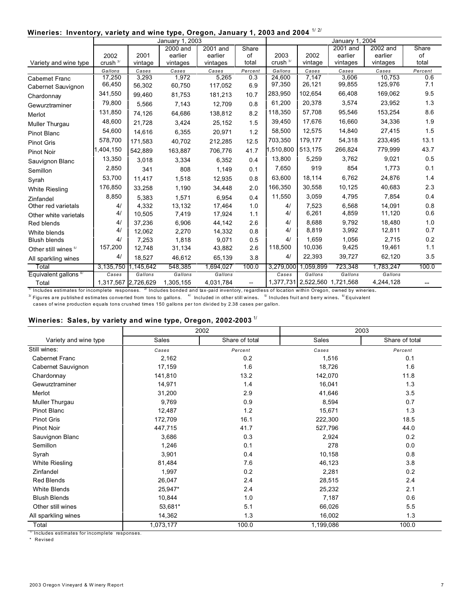#### Wineries: Inventory, variety and wine type, Oregon, January 1, 2003 and 2004  $^{1/2\ell}$

|                                  | January 1, 2003     |           |           |           |                          |                     |                     | January 1, 2004 |                   |            |  |
|----------------------------------|---------------------|-----------|-----------|-----------|--------------------------|---------------------|---------------------|-----------------|-------------------|------------|--|
|                                  |                     |           | 2000 and  | 2001 and  | Share                    |                     |                     | 2001 and        | 2002 and          | Share      |  |
|                                  | 2002                | 2001      | earlier   | earlier   | of                       | 2003                | 2002                | earlier         | earlier           | of         |  |
| Variety and wine type            | crush <sup>3/</sup> | vintage   | vintages  | vintages  | total                    | crush <sup>3/</sup> | vintage             | vintages        | vintages          | total      |  |
|                                  | Gallons             | Cases     | Cases     | Cases     | Percent                  | Gallons             | Cases               | Cases           | Cases             | Percent    |  |
| <b>Cabernet Franc</b>            | 17,250<br>66,450    | 3,293     | 1,972     | 5,265     | 0.3                      | 24,600<br>97,350    | 7,147<br>26,121     | 3,606<br>99,855 | 10.753<br>125,976 | 0.6<br>7.1 |  |
| Cabernet Sauvignon               |                     | 56,302    | 60,750    | 117,052   | 6.9                      |                     |                     |                 |                   |            |  |
| Chardonnay                       | 341,550             | 99,460    | 81,753    | 181,213   | 10.7                     | 283.950             | 102.654             | 66.408          | 169,062           | 9.5        |  |
| Gewurztraminer                   | 79,800              | 5,566     | 7,143     | 12,709    | 0.8                      | 61,200              | 20,378              | 3,574           | 23,952            | 1.3        |  |
| Merlot                           | 131,850             | 74,126    | 64,686    | 138,812   | 8.2                      | 118.350             | 57.708              | 95,546          | 153,254           | 8.6        |  |
| Muller Thurgau                   | 48,600              | 21,728    | 3,424     | 25,152    | 1.5                      | 39,450              | 17.676              | 16,660          | 34,336            | 1.9        |  |
| <b>Pinot Blanc</b>               | 54,600              | 14.616    | 6,355     | 20,971    | 1.2                      | 58,500              | 12,575              | 14,840          | 27,415            | 1.5        |  |
| <b>Pinot Gris</b>                | 578,700             | 171,583   | 40,702    | 212,285   | 12.5                     | 703,350             | 179.177             | 54,318          | 233,495           | 13.1       |  |
| <b>Pinot Noir</b>                | 1,404,150           | 542.889   | 163,887   | 706,776   | 41.7                     | 1.510.800           | 513,175             | 266.824         | 779,999           | 43.7       |  |
| Sauvignon Blanc                  | 13,350              | 3,018     | 3,334     | 6,352     | 0.4                      | 13,800              | 5,259               | 3,762           | 9,021             | 0.5        |  |
| Semillon                         | 2,850               | 341       | 808       | 1,149     | 0.1                      | 7,650               | 919                 | 854             | 1,773             | 0.1        |  |
| Syrah                            | 53,700              | 11.417    | 1,518     | 12,935    | 0.8                      | 63,600              | 18,114              | 6,762           | 24,876            | 1.4        |  |
| <b>White Riesling</b>            | 176,850             | 33,258    | 1,190     | 34,448    | 2.0                      | 166,350             | 30,558              | 10,125          | 40,683            | 2.3        |  |
| Zinfandel                        | 8,850               | 5,383     | 1,571     | 6,954     | 0.4                      | 11,550              | 3,059               | 4,795           | 7,854             | 0.4        |  |
| Other red varietals              | 4/                  | 4.332     | 13,132    | 17,464    | 1.0                      | 4/                  | 7,523               | 6.568           | 14.091            | 0.8        |  |
| Other white varietals            | 4/                  | 10.505    | 7,419     | 17,924    | 1.1                      | 4/                  | 6,261               | 4,859           | 11,120            | 0.6        |  |
| Red blends                       | 4/                  | 37,236    | 6,906     | 44,142    | 2.6                      | 4/                  | 8.688               | 9,792           | 18,480            | 1.0        |  |
| White blends                     | 4/                  | 12,062    | 2,270     | 14,332    | 0.8                      | 4/                  | 8,819               | 3,992           | 12,811            | 0.7        |  |
| <b>Blush blends</b>              | 4/                  | 7,253     | 1,818     | 9,071     | 0.5                      | 4/                  | 1.659               | 1.056           | 2.715             | 0.2        |  |
| Other still wines <sup>5/</sup>  | 157,200             | 12,748    | 31,134    | 43,882    | 2.6                      | 118,500             | 10,036              | 9,425           | 19,461            | 1.1        |  |
| All sparkling wines              | 4/                  | 18,527    | 46,612    | 65,139    | 3.8                      | 4/                  | 22,393              | 39,727          | 62,120            | 3.5        |  |
| Total                            | 3,135,750           | 1,145,642 | 548,385   | 1,694,027 | 100.0                    | 3,279,000           | 1,059,899           | 723,348         | 1,783,247         | 100.0      |  |
| Equivalent gallons <sup>6/</sup> | Cases               | Gallons   | Gallons   | Gallons   |                          | Cases               | Gallons             | Gallons         | Gallons           |            |  |
| Total                            | 1,317,567           | 2,726,629 | 1,305,155 | 4,031,784 | $\overline{\phantom{a}}$ |                     | 1,377,731 2,522,560 | 1,721,568       | 4,244,128         |            |  |

 $^\eta$  Includes estimates for incomplete responses.  $^{\text{2}}$  Includes bonded and tax-paid inventory, regardless of location within Oregon, owned by wineries.  $^{\textrm{3\hspace{1.5mm}F}}$  Figures are published estimates converted from tons to gallons.  $^{-4/}$  Included in other still wines.  $^{-5/}$  Includes fruit and berry wines.  $^{-6/}$ Equivalent

cases of wine production equals tons crushed times 150 gallons per ton divided by 2.38 cases per gallon.

## **Wineries: Sales, by variety and wine type, Oregon, 2002-2003** 1/

|                       |              | 2002           |           | 2003           |
|-----------------------|--------------|----------------|-----------|----------------|
| Variety and wine type | <b>Sales</b> | Share of total | Sales     | Share of total |
| Still wines:          | Cases        | Percent        | Cases     | Percent        |
| <b>Cabernet Franc</b> | 2,162        | 0.2            | 1,516     | 0.1            |
| Cabernet Sauvignon    | 17,159       | 1.6            | 18,726    | 1.6            |
| Chardonnay            | 141,810      | 13.2           | 142,070   | 11.8           |
| Gewurztraminer        | 14,971       | 1.4            | 16,041    | 1.3            |
| Merlot                | 31,200       | 2.9            | 41,646    | 3.5            |
| Muller Thurgau        | 9,769        | 0.9            | 8,594     | 0.7            |
| Pinot Blanc           | 12,487       | 1.2            | 15,671    | 1.3            |
| <b>Pinot Gris</b>     | 172,709      | 16.1           | 222,300   | 18.5           |
| Pinot Noir            | 447,715      | 41.7           | 527,796   | 44.0           |
| Sauvignon Blanc       | 3,686        | 0.3            | 2,924     | 0.2            |
| Semillon              | 1,246        | 0.1            | 278       | 0.0            |
| Syrah                 | 3,901        | 0.4            | 10,158    | 0.8            |
| <b>White Riesling</b> | 81,484       | 7.6            | 46,123    | 3.8            |
| Zinfandel             | 1,997        | 0.2            | 2,281     | 0.2            |
| Red Blends            | 26,047       | 2.4            | 28,515    | 2.4            |
| White Blends          | 25,947*      | 2.4            | 25,232    | 2.1            |
| <b>Blush Blends</b>   | 10,844       | 1.0            | 7,187     | 0.6            |
| Other still wines     | 53,681*      | 5.1            | 66,026    | 5.5            |
| All sparkling wines   | 14,362       | 1.3            | 16,002    | 1.3            |
| Total                 | 1,073,177    | 100.0          | 1,199,086 | 100.0          |

1/ Includes estimates for incomplete responses.

\* Revised